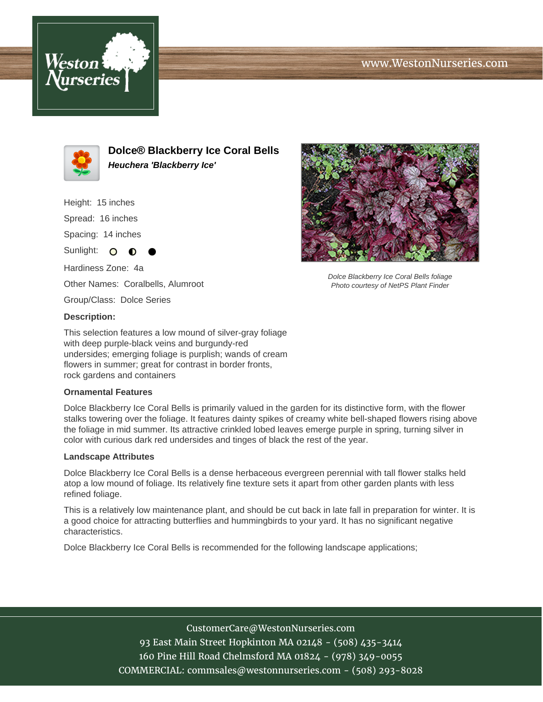# www.WestonNurseries.com





**Dolce® Blackberry Ice Coral Bells Heuchera 'Blackberry Ice'**

Height: 15 inches

Spread: 16 inches

Spacing: 14 inches

Sunlight: O ∩

Hardiness Zone: 4a Other Names: Coralbells, Alumroot

Group/Class: Dolce Series

#### **Description:**

This selection features a low mound of silver-gray foliage with deep purple-black veins and burgundy-red undersides; emerging foliage is purplish; wands of cream flowers in summer; great for contrast in border fronts, rock gardens and containers

### **Ornamental Features**

Dolce Blackberry Ice Coral Bells is primarily valued in the garden for its distinctive form, with the flower stalks towering over the foliage. It features dainty spikes of creamy white bell-shaped flowers rising above the foliage in mid summer. Its attractive crinkled lobed leaves emerge purple in spring, turning silver in color with curious dark red undersides and tinges of black the rest of the year.

#### **Landscape Attributes**

Dolce Blackberry Ice Coral Bells is a dense herbaceous evergreen perennial with tall flower stalks held atop a low mound of foliage. Its relatively fine texture sets it apart from other garden plants with less refined foliage.

This is a relatively low maintenance plant, and should be cut back in late fall in preparation for winter. It is a good choice for attracting butterflies and hummingbirds to your yard. It has no significant negative characteristics.

Dolce Blackberry Ice Coral Bells is recommended for the following landscape applications;



Dolce Blackberry Ice Coral Bells foliage Photo courtesy of NetPS Plant Finder

## CustomerCare@WestonNurseries.com

93 East Main Street Hopkinton MA 02148 - (508) 435-3414 160 Pine Hill Road Chelmsford MA 01824 - (978) 349-0055 COMMERCIAL: commsales@westonnurseries.com - (508) 293-8028